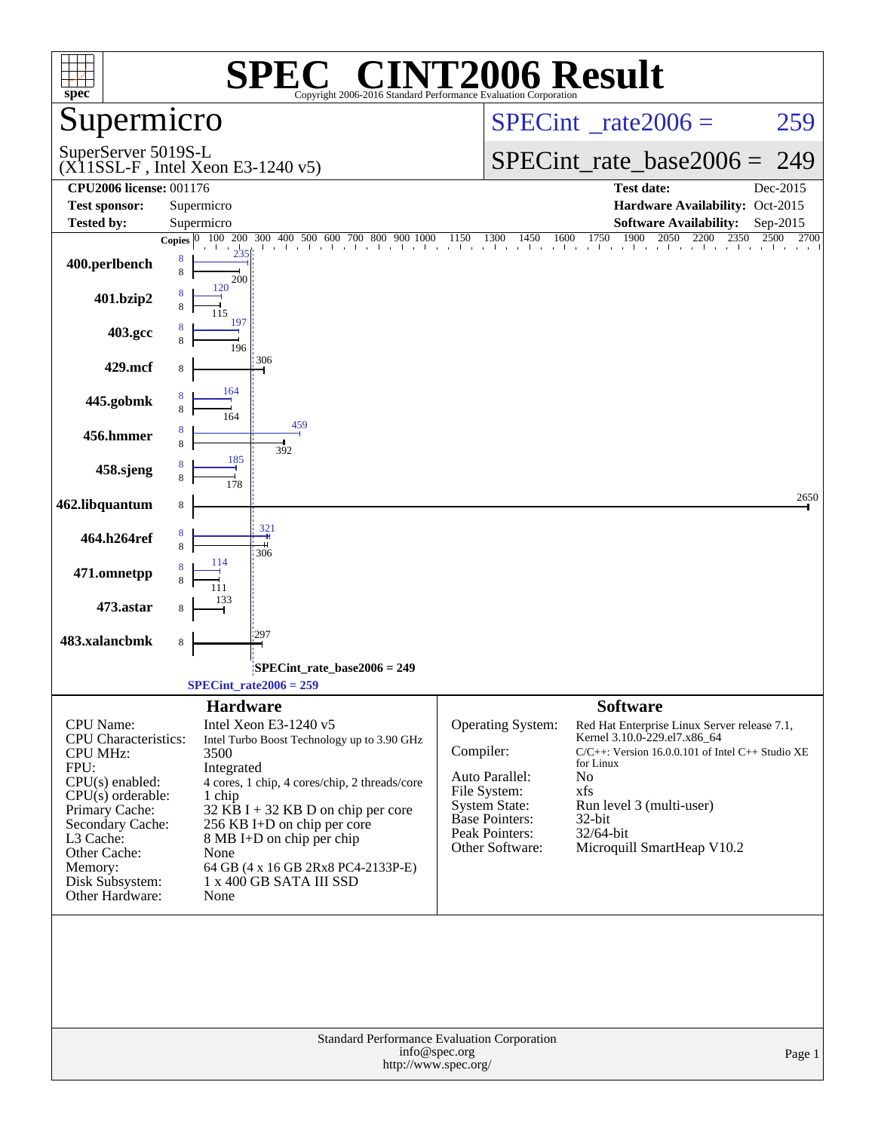| $spec^*$                                                                                                                                                                                                                          | $\left( \begin{array}{c} \sqrt{16} \end{array} \right)$<br>SPEO<br>Copyright 2006-2016 Standard Performance Evaluation Corporation                                                                                                                                                                                                         | <b>INT2006 Result</b>                                                                                                                                                                                                                                                                                                                                                                                      |
|-----------------------------------------------------------------------------------------------------------------------------------------------------------------------------------------------------------------------------------|--------------------------------------------------------------------------------------------------------------------------------------------------------------------------------------------------------------------------------------------------------------------------------------------------------------------------------------------|------------------------------------------------------------------------------------------------------------------------------------------------------------------------------------------------------------------------------------------------------------------------------------------------------------------------------------------------------------------------------------------------------------|
| Supermicro                                                                                                                                                                                                                        |                                                                                                                                                                                                                                                                                                                                            | $SPECint^{\circ}$ rate $2006 =$<br>259                                                                                                                                                                                                                                                                                                                                                                     |
| SuperServer 5019S-L                                                                                                                                                                                                               | $(X11SSL-F$ , Intel Xeon E3-1240 v5)                                                                                                                                                                                                                                                                                                       | $SPECint_rate\_base2006 =$<br>249                                                                                                                                                                                                                                                                                                                                                                          |
| <b>CPU2006 license: 001176</b>                                                                                                                                                                                                    |                                                                                                                                                                                                                                                                                                                                            | <b>Test date:</b><br>Dec-2015                                                                                                                                                                                                                                                                                                                                                                              |
| <b>Test sponsor:</b>                                                                                                                                                                                                              | Supermicro                                                                                                                                                                                                                                                                                                                                 | Hardware Availability: Oct-2015                                                                                                                                                                                                                                                                                                                                                                            |
| <b>Tested by:</b>                                                                                                                                                                                                                 | Supermicro                                                                                                                                                                                                                                                                                                                                 | <b>Software Availability:</b><br>Sep-2015                                                                                                                                                                                                                                                                                                                                                                  |
|                                                                                                                                                                                                                                   |                                                                                                                                                                                                                                                                                                                                            | <b>Copies</b> $\begin{bmatrix} 0 & 100 & 200 & 300 & 400 & 500 & 600 & 700 & 800 & 900 & 1000 & 1150 & 1300 & 1450 & 1600 & 1750 & 1900 & 2050 & 2200 & 2350 & 2500 & 27000 & 2050 & 2000 & 2050 & 2000 & 2050 & 2000 & 2050 & 2000 & 2050 & 2000 & 2050 & 2000 & 2050 & 2000 &$                                                                                                                           |
| 400.perlbench                                                                                                                                                                                                                     | 8<br>8<br>200                                                                                                                                                                                                                                                                                                                              |                                                                                                                                                                                                                                                                                                                                                                                                            |
| 401.bzip2                                                                                                                                                                                                                         | 120                                                                                                                                                                                                                                                                                                                                        |                                                                                                                                                                                                                                                                                                                                                                                                            |
| 403.gcc                                                                                                                                                                                                                           | 197<br>196                                                                                                                                                                                                                                                                                                                                 |                                                                                                                                                                                                                                                                                                                                                                                                            |
| 429.mcf                                                                                                                                                                                                                           | 306<br>164                                                                                                                                                                                                                                                                                                                                 |                                                                                                                                                                                                                                                                                                                                                                                                            |
| 445.gobmk                                                                                                                                                                                                                         | 459                                                                                                                                                                                                                                                                                                                                        |                                                                                                                                                                                                                                                                                                                                                                                                            |
| 456.hmmer                                                                                                                                                                                                                         | 8<br>392<br>185                                                                                                                                                                                                                                                                                                                            |                                                                                                                                                                                                                                                                                                                                                                                                            |
| 458.sjeng                                                                                                                                                                                                                         |                                                                                                                                                                                                                                                                                                                                            | 2650                                                                                                                                                                                                                                                                                                                                                                                                       |
| 462.libquantum                                                                                                                                                                                                                    | 8                                                                                                                                                                                                                                                                                                                                          |                                                                                                                                                                                                                                                                                                                                                                                                            |
| 464.h264ref                                                                                                                                                                                                                       | 321<br>8<br>306                                                                                                                                                                                                                                                                                                                            |                                                                                                                                                                                                                                                                                                                                                                                                            |
| 471.omnetpp                                                                                                                                                                                                                       |                                                                                                                                                                                                                                                                                                                                            |                                                                                                                                                                                                                                                                                                                                                                                                            |
| 473.astar                                                                                                                                                                                                                         |                                                                                                                                                                                                                                                                                                                                            |                                                                                                                                                                                                                                                                                                                                                                                                            |
| 483.xalancbmk                                                                                                                                                                                                                     | 297<br>8                                                                                                                                                                                                                                                                                                                                   |                                                                                                                                                                                                                                                                                                                                                                                                            |
|                                                                                                                                                                                                                                   | SPECint_rate_base2006 = 249<br>$SPECint_rate2006 = 259$                                                                                                                                                                                                                                                                                    |                                                                                                                                                                                                                                                                                                                                                                                                            |
|                                                                                                                                                                                                                                   | <b>Hardware</b>                                                                                                                                                                                                                                                                                                                            | <b>Software</b>                                                                                                                                                                                                                                                                                                                                                                                            |
| CPU Name:<br><b>CPU</b> Characteristics:<br><b>CPU MHz:</b><br>FPU:<br>CPU(s) enabled:<br>$CPU(s)$ orderable:<br>Primary Cache:<br>Secondary Cache:<br>L3 Cache:<br>Other Cache:<br>Memory:<br>Disk Subsystem:<br>Other Hardware: | Intel Xeon E3-1240 v5<br>Intel Turbo Boost Technology up to 3.90 GHz<br>3500<br>Integrated<br>4 cores, 1 chip, 4 cores/chip, 2 threads/core<br>1 chip<br>$32$ KB I + 32 KB D on chip per core<br>256 KB I+D on chip per core<br>8 MB I+D on chip per chip<br>None<br>64 GB (4 x 16 GB 2Rx8 PC4-2133P-E)<br>1 x 400 GB SATA III SSD<br>None | Operating System:<br>Red Hat Enterprise Linux Server release 7.1,<br>Kernel 3.10.0-229.el7.x86_64<br>Compiler:<br>$C/C++$ : Version 16.0.0.101 of Intel $C++$ Studio XE<br>for Linux<br>Auto Parallel:<br>No<br>File System:<br>xfs<br><b>System State:</b><br>Run level 3 (multi-user)<br><b>Base Pointers:</b><br>32-bit<br>Peak Pointers:<br>32/64-bit<br>Microquill SmartHeap V10.2<br>Other Software: |
|                                                                                                                                                                                                                                   | <b>Standard Performance Evaluation Corporation</b><br>info@spec.org<br>http://www.spec.org/                                                                                                                                                                                                                                                | Page 1                                                                                                                                                                                                                                                                                                                                                                                                     |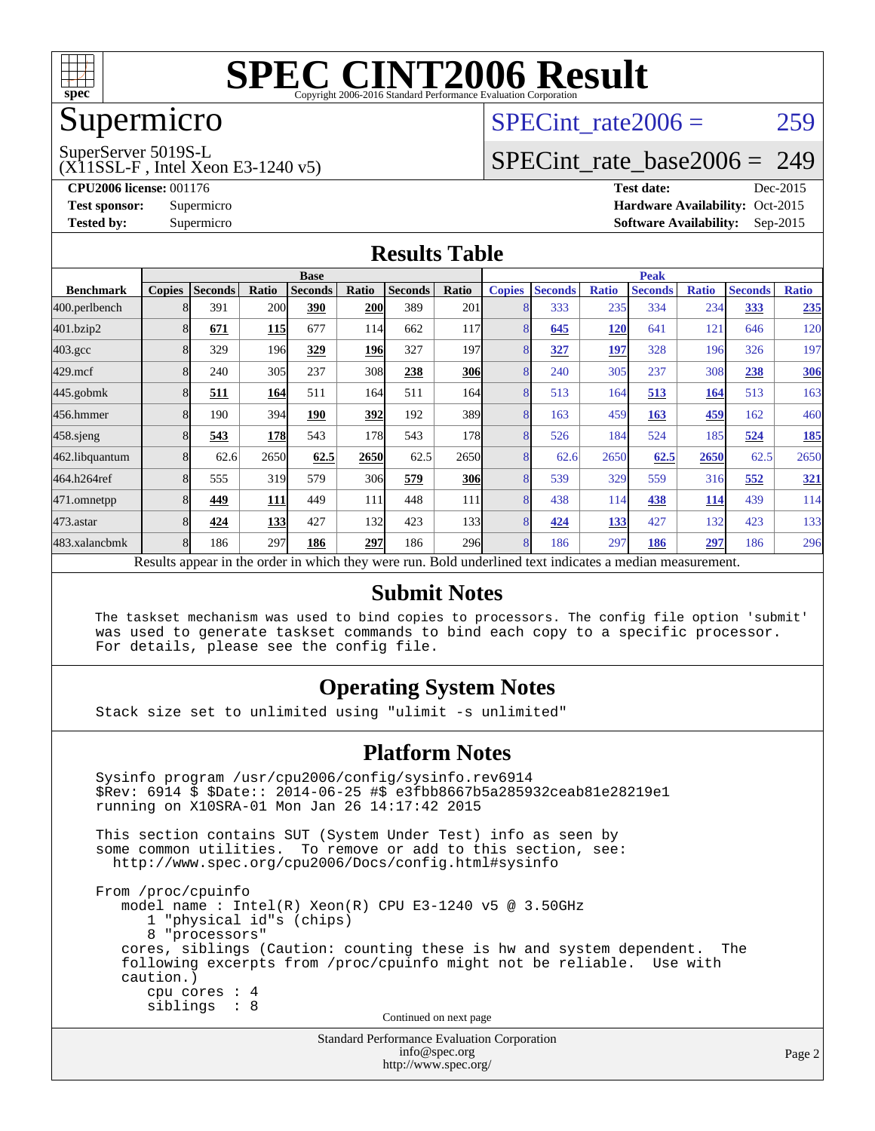

### Supermicro

### SPECint rate $2006 = 259$

SuperServer 5019S-L

(X11SSL-F , Intel Xeon E3-1240 v5)

[SPECint\\_rate\\_base2006 =](http://www.spec.org/auto/cpu2006/Docs/result-fields.html#SPECintratebase2006) 249

**[CPU2006 license:](http://www.spec.org/auto/cpu2006/Docs/result-fields.html#CPU2006license)** 001176 **[Test date:](http://www.spec.org/auto/cpu2006/Docs/result-fields.html#Testdate)** Dec-2015 **[Test sponsor:](http://www.spec.org/auto/cpu2006/Docs/result-fields.html#Testsponsor)** Supermicro Supermicro **[Hardware Availability:](http://www.spec.org/auto/cpu2006/Docs/result-fields.html#HardwareAvailability)** Oct-2015 **[Tested by:](http://www.spec.org/auto/cpu2006/Docs/result-fields.html#Testedby)** Supermicro **Supermicro [Software Availability:](http://www.spec.org/auto/cpu2006/Docs/result-fields.html#SoftwareAvailability)** Sep-2015

#### **[Results Table](http://www.spec.org/auto/cpu2006/Docs/result-fields.html#ResultsTable)**

|                                                                                                          | <b>Base</b>   |                |            |                |            | <b>Peak</b>    |            |                |                |              |                |              |                |              |
|----------------------------------------------------------------------------------------------------------|---------------|----------------|------------|----------------|------------|----------------|------------|----------------|----------------|--------------|----------------|--------------|----------------|--------------|
| <b>Benchmark</b>                                                                                         | <b>Copies</b> | <b>Seconds</b> | Ratio      | <b>Seconds</b> | Ratio      | <b>Seconds</b> | Ratio      | <b>Copies</b>  | <b>Seconds</b> | <b>Ratio</b> | <b>Seconds</b> | <b>Ratio</b> | <b>Seconds</b> | <b>Ratio</b> |
| 400.perlbench                                                                                            |               | 391            | 200        | 390            | <b>200</b> | 389            | 201        |                | 333            | 235          | 334            | 234          | 333            | 235          |
| 401.bzip2                                                                                                |               | 671            | <u>115</u> | 677            | 114        | 662            | 117        |                | 645            | 120          | 641            | 121          | 646            | 120          |
| $403.\mathrm{gcc}$                                                                                       |               | 329            | 196        | 329            | <b>196</b> | 327            | 197        |                | 327            | 197          | 328            | 196          | 326            | 197          |
| $429$ .mcf                                                                                               | 8             | 240            | 305        | 237            | 308        | 238            | <b>306</b> | 8              | 240            | 305          | 237            | 308          | 238            | <b>306</b>   |
| $445$ .gobm $k$                                                                                          | 8             | 511            | 164        | 511            | 164        | 511            | 164        | 8              | 513            | 164          | 513            | 164          | 513            | 163          |
| 456.hmmer                                                                                                |               | 190            | 394        | 190            | 392        | 192            | 389        |                | 163            | 459          | 163            | 459          | 162            | 460          |
| $458$ .sjeng                                                                                             |               | 543            | <b>178</b> | 543            | 178        | 543            | 178        | 8              | 526            | 184          | 524            | 185          | 524            | <u>185</u>   |
| 462.libquantum                                                                                           |               | 62.6           | 2650       | 62.5           | 2650       | 62.5           | 2650       | 8              | 62.6           | 2650         | 62.5           | 2650         | 62.5           | 2650         |
| 464.h264ref                                                                                              |               | 555            | 319        | 579            | 306        | 579            | 306        | $\overline{8}$ | 539            | 329          | 559            | 316          | 552            | <u>321</u>   |
| 471.omnetpp                                                                                              |               | 449            | 111        | 449            | 111        | 448            | 111        |                | 438            | 114          | 438            | <u>114</u>   | 439            | 114          |
| $473$ . astar                                                                                            |               | 424            | 133        | 427            | 132        | 423            | 133        | 8              | 424            | 133          | 427            | 132          | 423            | 133          |
| 483.xalancbmk                                                                                            |               | 186            | 297        | 186            | 297        | 186            | <b>296</b> | 8              | 186            | 297          | 186            | 297          | 186            | 296          |
| Results appear in the order in which they were run. Bold underlined text indicates a median measurement. |               |                |            |                |            |                |            |                |                |              |                |              |                |              |

#### **[Submit Notes](http://www.spec.org/auto/cpu2006/Docs/result-fields.html#SubmitNotes)**

 The taskset mechanism was used to bind copies to processors. The config file option 'submit' was used to generate taskset commands to bind each copy to a specific processor. For details, please see the config file.

#### **[Operating System Notes](http://www.spec.org/auto/cpu2006/Docs/result-fields.html#OperatingSystemNotes)**

Stack size set to unlimited using "ulimit -s unlimited"

#### **[Platform Notes](http://www.spec.org/auto/cpu2006/Docs/result-fields.html#PlatformNotes)**

Standard Performance Evaluation Corporation Sysinfo program /usr/cpu2006/config/sysinfo.rev6914 \$Rev: 6914 \$ \$Date:: 2014-06-25 #\$ e3fbb8667b5a285932ceab81e28219e1 running on X10SRA-01 Mon Jan 26 14:17:42 2015 This section contains SUT (System Under Test) info as seen by some common utilities. To remove or add to this section, see: <http://www.spec.org/cpu2006/Docs/config.html#sysinfo> From /proc/cpuinfo model name : Intel(R) Xeon(R) CPU E3-1240 v5 @ 3.50GHz 1 "physical id"s (chips) 8 "processors" cores, siblings (Caution: counting these is hw and system dependent. The following excerpts from /proc/cpuinfo might not be reliable. Use with caution.) cpu cores : 4 siblings : 8 Continued on next page

[info@spec.org](mailto:info@spec.org) <http://www.spec.org/>

Page 2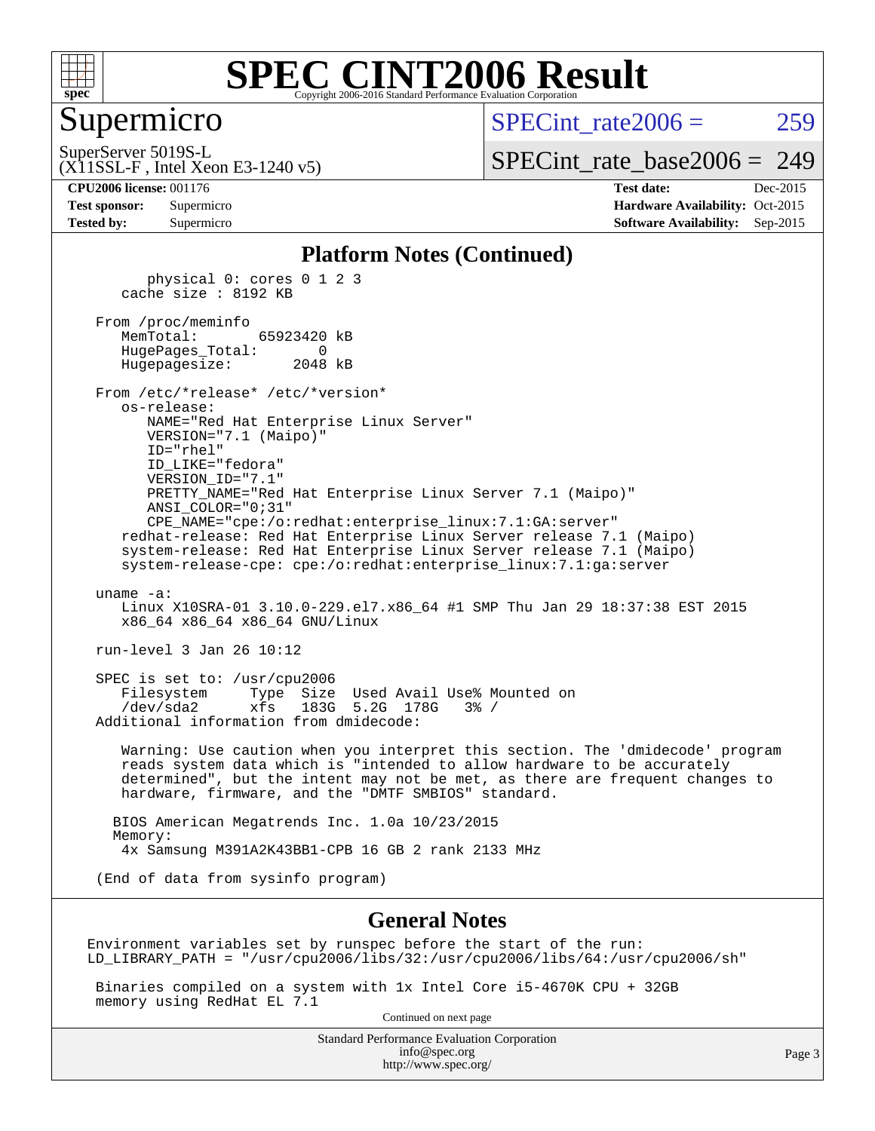

#### Supermicro

SPECint rate $2006 = 259$ 

(X11SSL-F , Intel Xeon E3-1240 v5) SuperServer 5019S-L

[SPECint\\_rate\\_base2006 =](http://www.spec.org/auto/cpu2006/Docs/result-fields.html#SPECintratebase2006) 249

**[CPU2006 license:](http://www.spec.org/auto/cpu2006/Docs/result-fields.html#CPU2006license)** 001176 **[Test date:](http://www.spec.org/auto/cpu2006/Docs/result-fields.html#Testdate)** Dec-2015 **[Test sponsor:](http://www.spec.org/auto/cpu2006/Docs/result-fields.html#Testsponsor)** Supermicro Supermicro **[Hardware Availability:](http://www.spec.org/auto/cpu2006/Docs/result-fields.html#HardwareAvailability)** Oct-2015 **[Tested by:](http://www.spec.org/auto/cpu2006/Docs/result-fields.html#Testedby)** Supermicro **Supermicro [Software Availability:](http://www.spec.org/auto/cpu2006/Docs/result-fields.html#SoftwareAvailability)** Sep-2015

#### **[Platform Notes \(Continued\)](http://www.spec.org/auto/cpu2006/Docs/result-fields.html#PlatformNotes)**

 physical 0: cores 0 1 2 3 cache size : 8192 KB From /proc/meminfo MemTotal: 65923420 kB HugePages\_Total: 0 Hugepagesize: 2048 kB From /etc/\*release\* /etc/\*version\* os-release: NAME="Red Hat Enterprise Linux Server" VERSION="7.1 (Maipo)" ID="rhel" ID\_LIKE="fedora" VERSION\_ID="7.1" PRETTY\_NAME="Red Hat Enterprise Linux Server 7.1 (Maipo)" ANSI\_COLOR="0;31" CPE\_NAME="cpe:/o:redhat:enterprise\_linux:7.1:GA:server" redhat-release: Red Hat Enterprise Linux Server release 7.1 (Maipo) system-release: Red Hat Enterprise Linux Server release 7.1 (Maipo) system-release-cpe: cpe:/o:redhat:enterprise\_linux:7.1:ga:server uname -a: Linux X10SRA-01 3.10.0-229.el7.x86\_64 #1 SMP Thu Jan 29 18:37:38 EST 2015 x86\_64 x86\_64 x86\_64 GNU/Linux run-level 3 Jan 26 10:12 SPEC is set to: /usr/cpu2006 Filesystem Type Size Used Avail Use% Mounted on /dev/sda2 xfs 183G 5.2G 178G 3% / Additional information from dmidecode: Warning: Use caution when you interpret this section. The 'dmidecode' program reads system data which is "intended to allow hardware to be accurately determined", but the intent may not be met, as there are frequent changes to hardware, firmware, and the "DMTF SMBIOS" standard. BIOS American Megatrends Inc. 1.0a 10/23/2015 Memory:

4x Samsung M391A2K43BB1-CPB 16 GB 2 rank 2133 MHz

(End of data from sysinfo program)

#### **[General Notes](http://www.spec.org/auto/cpu2006/Docs/result-fields.html#GeneralNotes)**

Environment variables set by runspec before the start of the run: LD\_LIBRARY\_PATH = "/usr/cpu2006/libs/32:/usr/cpu2006/libs/64:/usr/cpu2006/sh"

 Binaries compiled on a system with 1x Intel Core i5-4670K CPU + 32GB memory using RedHat EL 7.1

Continued on next page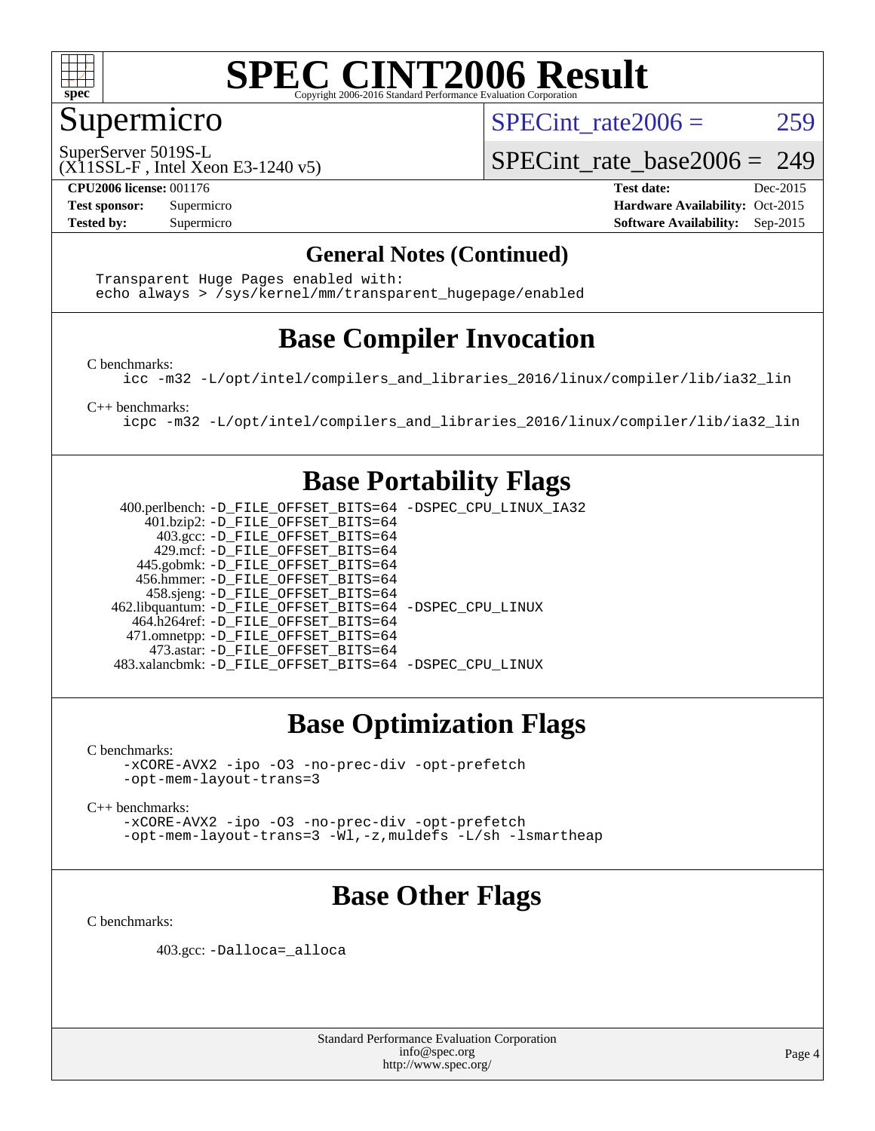

#### Supermicro

SPECint rate $2006 = 259$ 

SuperServer 5019S-L

(X11SSL-F , Intel Xeon E3-1240 v5)

**[CPU2006 license:](http://www.spec.org/auto/cpu2006/Docs/result-fields.html#CPU2006license)** 001176 **[Test date:](http://www.spec.org/auto/cpu2006/Docs/result-fields.html#Testdate)** Dec-2015

SPECint rate base2006 =  $249$ 

**[Test sponsor:](http://www.spec.org/auto/cpu2006/Docs/result-fields.html#Testsponsor)** Supermicro Supermicro **[Hardware Availability:](http://www.spec.org/auto/cpu2006/Docs/result-fields.html#HardwareAvailability)** Oct-2015 **[Tested by:](http://www.spec.org/auto/cpu2006/Docs/result-fields.html#Testedby)** Supermicro **Supermicro [Software Availability:](http://www.spec.org/auto/cpu2006/Docs/result-fields.html#SoftwareAvailability)** Sep-2015

#### **[General Notes \(Continued\)](http://www.spec.org/auto/cpu2006/Docs/result-fields.html#GeneralNotes)**

 Transparent Huge Pages enabled with: echo always > /sys/kernel/mm/transparent\_hugepage/enabled

#### **[Base Compiler Invocation](http://www.spec.org/auto/cpu2006/Docs/result-fields.html#BaseCompilerInvocation)**

[C benchmarks](http://www.spec.org/auto/cpu2006/Docs/result-fields.html#Cbenchmarks):

[icc -m32 -L/opt/intel/compilers\\_and\\_libraries\\_2016/linux/compiler/lib/ia32\\_lin](http://www.spec.org/cpu2006/results/res2016q1/cpu2006-20151217-38453.flags.html#user_CCbase_intel_icc_e10256ba5924b668798078a321b0cb3f)

[C++ benchmarks:](http://www.spec.org/auto/cpu2006/Docs/result-fields.html#CXXbenchmarks)

[icpc -m32 -L/opt/intel/compilers\\_and\\_libraries\\_2016/linux/compiler/lib/ia32\\_lin](http://www.spec.org/cpu2006/results/res2016q1/cpu2006-20151217-38453.flags.html#user_CXXbase_intel_icpc_b4f50a394bdb4597aa5879c16bc3f5c5)

#### **[Base Portability Flags](http://www.spec.org/auto/cpu2006/Docs/result-fields.html#BasePortabilityFlags)**

 400.perlbench: [-D\\_FILE\\_OFFSET\\_BITS=64](http://www.spec.org/cpu2006/results/res2016q1/cpu2006-20151217-38453.flags.html#user_basePORTABILITY400_perlbench_file_offset_bits_64_438cf9856305ebd76870a2c6dc2689ab) [-DSPEC\\_CPU\\_LINUX\\_IA32](http://www.spec.org/cpu2006/results/res2016q1/cpu2006-20151217-38453.flags.html#b400.perlbench_baseCPORTABILITY_DSPEC_CPU_LINUX_IA32) 401.bzip2: [-D\\_FILE\\_OFFSET\\_BITS=64](http://www.spec.org/cpu2006/results/res2016q1/cpu2006-20151217-38453.flags.html#user_basePORTABILITY401_bzip2_file_offset_bits_64_438cf9856305ebd76870a2c6dc2689ab) 403.gcc: [-D\\_FILE\\_OFFSET\\_BITS=64](http://www.spec.org/cpu2006/results/res2016q1/cpu2006-20151217-38453.flags.html#user_basePORTABILITY403_gcc_file_offset_bits_64_438cf9856305ebd76870a2c6dc2689ab) 429.mcf: [-D\\_FILE\\_OFFSET\\_BITS=64](http://www.spec.org/cpu2006/results/res2016q1/cpu2006-20151217-38453.flags.html#user_basePORTABILITY429_mcf_file_offset_bits_64_438cf9856305ebd76870a2c6dc2689ab) 445.gobmk: [-D\\_FILE\\_OFFSET\\_BITS=64](http://www.spec.org/cpu2006/results/res2016q1/cpu2006-20151217-38453.flags.html#user_basePORTABILITY445_gobmk_file_offset_bits_64_438cf9856305ebd76870a2c6dc2689ab) 456.hmmer: [-D\\_FILE\\_OFFSET\\_BITS=64](http://www.spec.org/cpu2006/results/res2016q1/cpu2006-20151217-38453.flags.html#user_basePORTABILITY456_hmmer_file_offset_bits_64_438cf9856305ebd76870a2c6dc2689ab) 458.sjeng: [-D\\_FILE\\_OFFSET\\_BITS=64](http://www.spec.org/cpu2006/results/res2016q1/cpu2006-20151217-38453.flags.html#user_basePORTABILITY458_sjeng_file_offset_bits_64_438cf9856305ebd76870a2c6dc2689ab) 462.libquantum: [-D\\_FILE\\_OFFSET\\_BITS=64](http://www.spec.org/cpu2006/results/res2016q1/cpu2006-20151217-38453.flags.html#user_basePORTABILITY462_libquantum_file_offset_bits_64_438cf9856305ebd76870a2c6dc2689ab) [-DSPEC\\_CPU\\_LINUX](http://www.spec.org/cpu2006/results/res2016q1/cpu2006-20151217-38453.flags.html#b462.libquantum_baseCPORTABILITY_DSPEC_CPU_LINUX) 464.h264ref: [-D\\_FILE\\_OFFSET\\_BITS=64](http://www.spec.org/cpu2006/results/res2016q1/cpu2006-20151217-38453.flags.html#user_basePORTABILITY464_h264ref_file_offset_bits_64_438cf9856305ebd76870a2c6dc2689ab) 471.omnetpp: [-D\\_FILE\\_OFFSET\\_BITS=64](http://www.spec.org/cpu2006/results/res2016q1/cpu2006-20151217-38453.flags.html#user_basePORTABILITY471_omnetpp_file_offset_bits_64_438cf9856305ebd76870a2c6dc2689ab) 473.astar: [-D\\_FILE\\_OFFSET\\_BITS=64](http://www.spec.org/cpu2006/results/res2016q1/cpu2006-20151217-38453.flags.html#user_basePORTABILITY473_astar_file_offset_bits_64_438cf9856305ebd76870a2c6dc2689ab) 483.xalancbmk: [-D\\_FILE\\_OFFSET\\_BITS=64](http://www.spec.org/cpu2006/results/res2016q1/cpu2006-20151217-38453.flags.html#user_basePORTABILITY483_xalancbmk_file_offset_bits_64_438cf9856305ebd76870a2c6dc2689ab) [-DSPEC\\_CPU\\_LINUX](http://www.spec.org/cpu2006/results/res2016q1/cpu2006-20151217-38453.flags.html#b483.xalancbmk_baseCXXPORTABILITY_DSPEC_CPU_LINUX)

### **[Base Optimization Flags](http://www.spec.org/auto/cpu2006/Docs/result-fields.html#BaseOptimizationFlags)**

[C benchmarks](http://www.spec.org/auto/cpu2006/Docs/result-fields.html#Cbenchmarks):

[-xCORE-AVX2](http://www.spec.org/cpu2006/results/res2016q1/cpu2006-20151217-38453.flags.html#user_CCbase_f-xAVX2_5f5fc0cbe2c9f62c816d3e45806c70d7) [-ipo](http://www.spec.org/cpu2006/results/res2016q1/cpu2006-20151217-38453.flags.html#user_CCbase_f-ipo) [-O3](http://www.spec.org/cpu2006/results/res2016q1/cpu2006-20151217-38453.flags.html#user_CCbase_f-O3) [-no-prec-div](http://www.spec.org/cpu2006/results/res2016q1/cpu2006-20151217-38453.flags.html#user_CCbase_f-no-prec-div) [-opt-prefetch](http://www.spec.org/cpu2006/results/res2016q1/cpu2006-20151217-38453.flags.html#user_CCbase_f-opt-prefetch) [-opt-mem-layout-trans=3](http://www.spec.org/cpu2006/results/res2016q1/cpu2006-20151217-38453.flags.html#user_CCbase_f-opt-mem-layout-trans_a7b82ad4bd7abf52556d4961a2ae94d5)

[C++ benchmarks:](http://www.spec.org/auto/cpu2006/Docs/result-fields.html#CXXbenchmarks)

[-xCORE-AVX2](http://www.spec.org/cpu2006/results/res2016q1/cpu2006-20151217-38453.flags.html#user_CXXbase_f-xAVX2_5f5fc0cbe2c9f62c816d3e45806c70d7) [-ipo](http://www.spec.org/cpu2006/results/res2016q1/cpu2006-20151217-38453.flags.html#user_CXXbase_f-ipo) [-O3](http://www.spec.org/cpu2006/results/res2016q1/cpu2006-20151217-38453.flags.html#user_CXXbase_f-O3) [-no-prec-div](http://www.spec.org/cpu2006/results/res2016q1/cpu2006-20151217-38453.flags.html#user_CXXbase_f-no-prec-div) [-opt-prefetch](http://www.spec.org/cpu2006/results/res2016q1/cpu2006-20151217-38453.flags.html#user_CXXbase_f-opt-prefetch) [-opt-mem-layout-trans=3](http://www.spec.org/cpu2006/results/res2016q1/cpu2006-20151217-38453.flags.html#user_CXXbase_f-opt-mem-layout-trans_a7b82ad4bd7abf52556d4961a2ae94d5) [-Wl,-z,muldefs](http://www.spec.org/cpu2006/results/res2016q1/cpu2006-20151217-38453.flags.html#user_CXXbase_link_force_multiple1_74079c344b956b9658436fd1b6dd3a8a) [-L/sh -lsmartheap](http://www.spec.org/cpu2006/results/res2016q1/cpu2006-20151217-38453.flags.html#user_CXXbase_SmartHeap_32f6c82aa1ed9c52345d30cf6e4a0499)

### **[Base Other Flags](http://www.spec.org/auto/cpu2006/Docs/result-fields.html#BaseOtherFlags)**

[C benchmarks](http://www.spec.org/auto/cpu2006/Docs/result-fields.html#Cbenchmarks):

403.gcc: [-Dalloca=\\_alloca](http://www.spec.org/cpu2006/results/res2016q1/cpu2006-20151217-38453.flags.html#b403.gcc_baseEXTRA_CFLAGS_Dalloca_be3056838c12de2578596ca5467af7f3)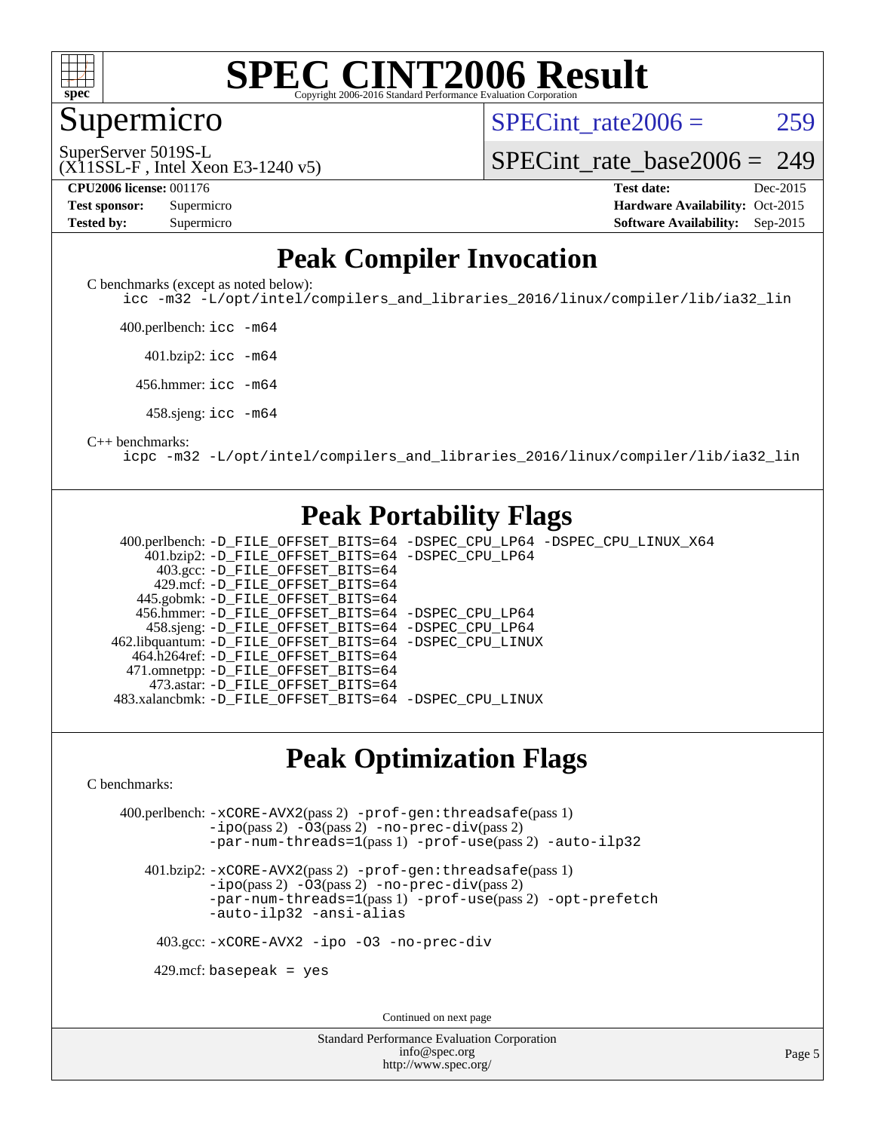

Supermicro

SPECint rate $2006 = 259$ 

SuperServer 5019S-L

#### [SPECint\\_rate\\_base2006 =](http://www.spec.org/auto/cpu2006/Docs/result-fields.html#SPECintratebase2006) 249

(X11SSL-F , Intel Xeon E3-1240 v5)

| <b>Fest sponsor:</b> | Supermicro |  |  |  |
|----------------------|------------|--|--|--|
| <b>Fested by:</b>    | Supermicro |  |  |  |

**[CPU2006 license:](http://www.spec.org/auto/cpu2006/Docs/result-fields.html#CPU2006license)** 001176 **[Test date:](http://www.spec.org/auto/cpu2006/Docs/result-fields.html#Testdate)** Dec-2015 **[Hardware Availability:](http://www.spec.org/auto/cpu2006/Docs/result-fields.html#HardwareAvailability)** Oct-2015 **[Software Availability:](http://www.spec.org/auto/cpu2006/Docs/result-fields.html#SoftwareAvailability)** Sep-2015

#### **[Peak Compiler Invocation](http://www.spec.org/auto/cpu2006/Docs/result-fields.html#PeakCompilerInvocation)**

[C benchmarks \(except as noted below\)](http://www.spec.org/auto/cpu2006/Docs/result-fields.html#Cbenchmarksexceptasnotedbelow):

[icc -m32 -L/opt/intel/compilers\\_and\\_libraries\\_2016/linux/compiler/lib/ia32\\_lin](http://www.spec.org/cpu2006/results/res2016q1/cpu2006-20151217-38453.flags.html#user_CCpeak_intel_icc_e10256ba5924b668798078a321b0cb3f)

400.perlbench: [icc -m64](http://www.spec.org/cpu2006/results/res2016q1/cpu2006-20151217-38453.flags.html#user_peakCCLD400_perlbench_intel_icc_64bit_bda6cc9af1fdbb0edc3795bac97ada53)

401.bzip2: [icc -m64](http://www.spec.org/cpu2006/results/res2016q1/cpu2006-20151217-38453.flags.html#user_peakCCLD401_bzip2_intel_icc_64bit_bda6cc9af1fdbb0edc3795bac97ada53)

456.hmmer: [icc -m64](http://www.spec.org/cpu2006/results/res2016q1/cpu2006-20151217-38453.flags.html#user_peakCCLD456_hmmer_intel_icc_64bit_bda6cc9af1fdbb0edc3795bac97ada53)

458.sjeng: [icc -m64](http://www.spec.org/cpu2006/results/res2016q1/cpu2006-20151217-38453.flags.html#user_peakCCLD458_sjeng_intel_icc_64bit_bda6cc9af1fdbb0edc3795bac97ada53)

#### [C++ benchmarks:](http://www.spec.org/auto/cpu2006/Docs/result-fields.html#CXXbenchmarks)

[icpc -m32 -L/opt/intel/compilers\\_and\\_libraries\\_2016/linux/compiler/lib/ia32\\_lin](http://www.spec.org/cpu2006/results/res2016q1/cpu2006-20151217-38453.flags.html#user_CXXpeak_intel_icpc_b4f50a394bdb4597aa5879c16bc3f5c5)

#### **[Peak Portability Flags](http://www.spec.org/auto/cpu2006/Docs/result-fields.html#PeakPortabilityFlags)**

 400.perlbench: [-D\\_FILE\\_OFFSET\\_BITS=64](http://www.spec.org/cpu2006/results/res2016q1/cpu2006-20151217-38453.flags.html#user_peakPORTABILITY400_perlbench_file_offset_bits_64_438cf9856305ebd76870a2c6dc2689ab) [-DSPEC\\_CPU\\_LP64](http://www.spec.org/cpu2006/results/res2016q1/cpu2006-20151217-38453.flags.html#b400.perlbench_peakCPORTABILITY_DSPEC_CPU_LP64) [-DSPEC\\_CPU\\_LINUX\\_X64](http://www.spec.org/cpu2006/results/res2016q1/cpu2006-20151217-38453.flags.html#b400.perlbench_peakCPORTABILITY_DSPEC_CPU_LINUX_X64) 401.bzip2: [-D\\_FILE\\_OFFSET\\_BITS=64](http://www.spec.org/cpu2006/results/res2016q1/cpu2006-20151217-38453.flags.html#user_peakPORTABILITY401_bzip2_file_offset_bits_64_438cf9856305ebd76870a2c6dc2689ab) [-DSPEC\\_CPU\\_LP64](http://www.spec.org/cpu2006/results/res2016q1/cpu2006-20151217-38453.flags.html#suite_peakCPORTABILITY401_bzip2_DSPEC_CPU_LP64) 403.gcc: [-D\\_FILE\\_OFFSET\\_BITS=64](http://www.spec.org/cpu2006/results/res2016q1/cpu2006-20151217-38453.flags.html#user_peakPORTABILITY403_gcc_file_offset_bits_64_438cf9856305ebd76870a2c6dc2689ab) 429.mcf: [-D\\_FILE\\_OFFSET\\_BITS=64](http://www.spec.org/cpu2006/results/res2016q1/cpu2006-20151217-38453.flags.html#user_peakPORTABILITY429_mcf_file_offset_bits_64_438cf9856305ebd76870a2c6dc2689ab) 445.gobmk: [-D\\_FILE\\_OFFSET\\_BITS=64](http://www.spec.org/cpu2006/results/res2016q1/cpu2006-20151217-38453.flags.html#user_peakPORTABILITY445_gobmk_file_offset_bits_64_438cf9856305ebd76870a2c6dc2689ab) 456.hmmer: [-D\\_FILE\\_OFFSET\\_BITS=64](http://www.spec.org/cpu2006/results/res2016q1/cpu2006-20151217-38453.flags.html#user_peakPORTABILITY456_hmmer_file_offset_bits_64_438cf9856305ebd76870a2c6dc2689ab) [-DSPEC\\_CPU\\_LP64](http://www.spec.org/cpu2006/results/res2016q1/cpu2006-20151217-38453.flags.html#suite_peakCPORTABILITY456_hmmer_DSPEC_CPU_LP64) 458.sjeng: [-D\\_FILE\\_OFFSET\\_BITS=64](http://www.spec.org/cpu2006/results/res2016q1/cpu2006-20151217-38453.flags.html#user_peakPORTABILITY458_sjeng_file_offset_bits_64_438cf9856305ebd76870a2c6dc2689ab) [-DSPEC\\_CPU\\_LP64](http://www.spec.org/cpu2006/results/res2016q1/cpu2006-20151217-38453.flags.html#suite_peakCPORTABILITY458_sjeng_DSPEC_CPU_LP64) 462.libquantum: [-D\\_FILE\\_OFFSET\\_BITS=64](http://www.spec.org/cpu2006/results/res2016q1/cpu2006-20151217-38453.flags.html#user_peakPORTABILITY462_libquantum_file_offset_bits_64_438cf9856305ebd76870a2c6dc2689ab) [-DSPEC\\_CPU\\_LINUX](http://www.spec.org/cpu2006/results/res2016q1/cpu2006-20151217-38453.flags.html#b462.libquantum_peakCPORTABILITY_DSPEC_CPU_LINUX) 464.h264ref: [-D\\_FILE\\_OFFSET\\_BITS=64](http://www.spec.org/cpu2006/results/res2016q1/cpu2006-20151217-38453.flags.html#user_peakPORTABILITY464_h264ref_file_offset_bits_64_438cf9856305ebd76870a2c6dc2689ab) 471.omnetpp: [-D\\_FILE\\_OFFSET\\_BITS=64](http://www.spec.org/cpu2006/results/res2016q1/cpu2006-20151217-38453.flags.html#user_peakPORTABILITY471_omnetpp_file_offset_bits_64_438cf9856305ebd76870a2c6dc2689ab) 473.astar: [-D\\_FILE\\_OFFSET\\_BITS=64](http://www.spec.org/cpu2006/results/res2016q1/cpu2006-20151217-38453.flags.html#user_peakPORTABILITY473_astar_file_offset_bits_64_438cf9856305ebd76870a2c6dc2689ab) 483.xalancbmk: [-D\\_FILE\\_OFFSET\\_BITS=64](http://www.spec.org/cpu2006/results/res2016q1/cpu2006-20151217-38453.flags.html#user_peakPORTABILITY483_xalancbmk_file_offset_bits_64_438cf9856305ebd76870a2c6dc2689ab) [-DSPEC\\_CPU\\_LINUX](http://www.spec.org/cpu2006/results/res2016q1/cpu2006-20151217-38453.flags.html#b483.xalancbmk_peakCXXPORTABILITY_DSPEC_CPU_LINUX)

#### **[Peak Optimization Flags](http://www.spec.org/auto/cpu2006/Docs/result-fields.html#PeakOptimizationFlags)**

[C benchmarks](http://www.spec.org/auto/cpu2006/Docs/result-fields.html#Cbenchmarks):

 400.perlbench: [-xCORE-AVX2](http://www.spec.org/cpu2006/results/res2016q1/cpu2006-20151217-38453.flags.html#user_peakPASS2_CFLAGSPASS2_LDCFLAGS400_perlbench_f-xAVX2_5f5fc0cbe2c9f62c816d3e45806c70d7)(pass 2) [-prof-gen:threadsafe](http://www.spec.org/cpu2006/results/res2016q1/cpu2006-20151217-38453.flags.html#user_peakPASS1_CFLAGSPASS1_LDCFLAGS400_perlbench_prof_gen_21a26eb79f378b550acd7bec9fe4467a)(pass 1) [-ipo](http://www.spec.org/cpu2006/results/res2016q1/cpu2006-20151217-38453.flags.html#user_peakPASS2_CFLAGSPASS2_LDCFLAGS400_perlbench_f-ipo)(pass 2) [-O3](http://www.spec.org/cpu2006/results/res2016q1/cpu2006-20151217-38453.flags.html#user_peakPASS2_CFLAGSPASS2_LDCFLAGS400_perlbench_f-O3)(pass 2) [-no-prec-div](http://www.spec.org/cpu2006/results/res2016q1/cpu2006-20151217-38453.flags.html#user_peakPASS2_CFLAGSPASS2_LDCFLAGS400_perlbench_f-no-prec-div)(pass 2) [-par-num-threads=1](http://www.spec.org/cpu2006/results/res2016q1/cpu2006-20151217-38453.flags.html#user_peakPASS1_CFLAGSPASS1_LDCFLAGS400_perlbench_par_num_threads_786a6ff141b4e9e90432e998842df6c2)(pass 1) [-prof-use](http://www.spec.org/cpu2006/results/res2016q1/cpu2006-20151217-38453.flags.html#user_peakPASS2_CFLAGSPASS2_LDCFLAGS400_perlbench_prof_use_bccf7792157ff70d64e32fe3e1250b55)(pass 2) [-auto-ilp32](http://www.spec.org/cpu2006/results/res2016q1/cpu2006-20151217-38453.flags.html#user_peakCOPTIMIZE400_perlbench_f-auto-ilp32)

 401.bzip2: [-xCORE-AVX2](http://www.spec.org/cpu2006/results/res2016q1/cpu2006-20151217-38453.flags.html#user_peakPASS2_CFLAGSPASS2_LDCFLAGS401_bzip2_f-xAVX2_5f5fc0cbe2c9f62c816d3e45806c70d7)(pass 2) [-prof-gen:threadsafe](http://www.spec.org/cpu2006/results/res2016q1/cpu2006-20151217-38453.flags.html#user_peakPASS1_CFLAGSPASS1_LDCFLAGS401_bzip2_prof_gen_21a26eb79f378b550acd7bec9fe4467a)(pass 1)  $-i\text{po}(pass 2)$  [-O3](http://www.spec.org/cpu2006/results/res2016q1/cpu2006-20151217-38453.flags.html#user_peakPASS2_CFLAGSPASS2_LDCFLAGS401_bzip2_f-O3) $(pass 2)$  [-no-prec-div](http://www.spec.org/cpu2006/results/res2016q1/cpu2006-20151217-38453.flags.html#user_peakPASS2_CFLAGSPASS2_LDCFLAGS401_bzip2_f-no-prec-div) $(pass 2)$ [-par-num-threads=1](http://www.spec.org/cpu2006/results/res2016q1/cpu2006-20151217-38453.flags.html#user_peakPASS1_CFLAGSPASS1_LDCFLAGS401_bzip2_par_num_threads_786a6ff141b4e9e90432e998842df6c2)(pass 1) [-prof-use](http://www.spec.org/cpu2006/results/res2016q1/cpu2006-20151217-38453.flags.html#user_peakPASS2_CFLAGSPASS2_LDCFLAGS401_bzip2_prof_use_bccf7792157ff70d64e32fe3e1250b55)(pass 2) [-opt-prefetch](http://www.spec.org/cpu2006/results/res2016q1/cpu2006-20151217-38453.flags.html#user_peakCOPTIMIZE401_bzip2_f-opt-prefetch) [-auto-ilp32](http://www.spec.org/cpu2006/results/res2016q1/cpu2006-20151217-38453.flags.html#user_peakCOPTIMIZE401_bzip2_f-auto-ilp32) [-ansi-alias](http://www.spec.org/cpu2006/results/res2016q1/cpu2006-20151217-38453.flags.html#user_peakCOPTIMIZE401_bzip2_f-ansi-alias)

403.gcc: [-xCORE-AVX2](http://www.spec.org/cpu2006/results/res2016q1/cpu2006-20151217-38453.flags.html#user_peakCOPTIMIZE403_gcc_f-xAVX2_5f5fc0cbe2c9f62c816d3e45806c70d7) [-ipo](http://www.spec.org/cpu2006/results/res2016q1/cpu2006-20151217-38453.flags.html#user_peakCOPTIMIZE403_gcc_f-ipo) [-O3](http://www.spec.org/cpu2006/results/res2016q1/cpu2006-20151217-38453.flags.html#user_peakCOPTIMIZE403_gcc_f-O3) [-no-prec-div](http://www.spec.org/cpu2006/results/res2016q1/cpu2006-20151217-38453.flags.html#user_peakCOPTIMIZE403_gcc_f-no-prec-div)

 $429$ .mcf: basepeak = yes

Continued on next page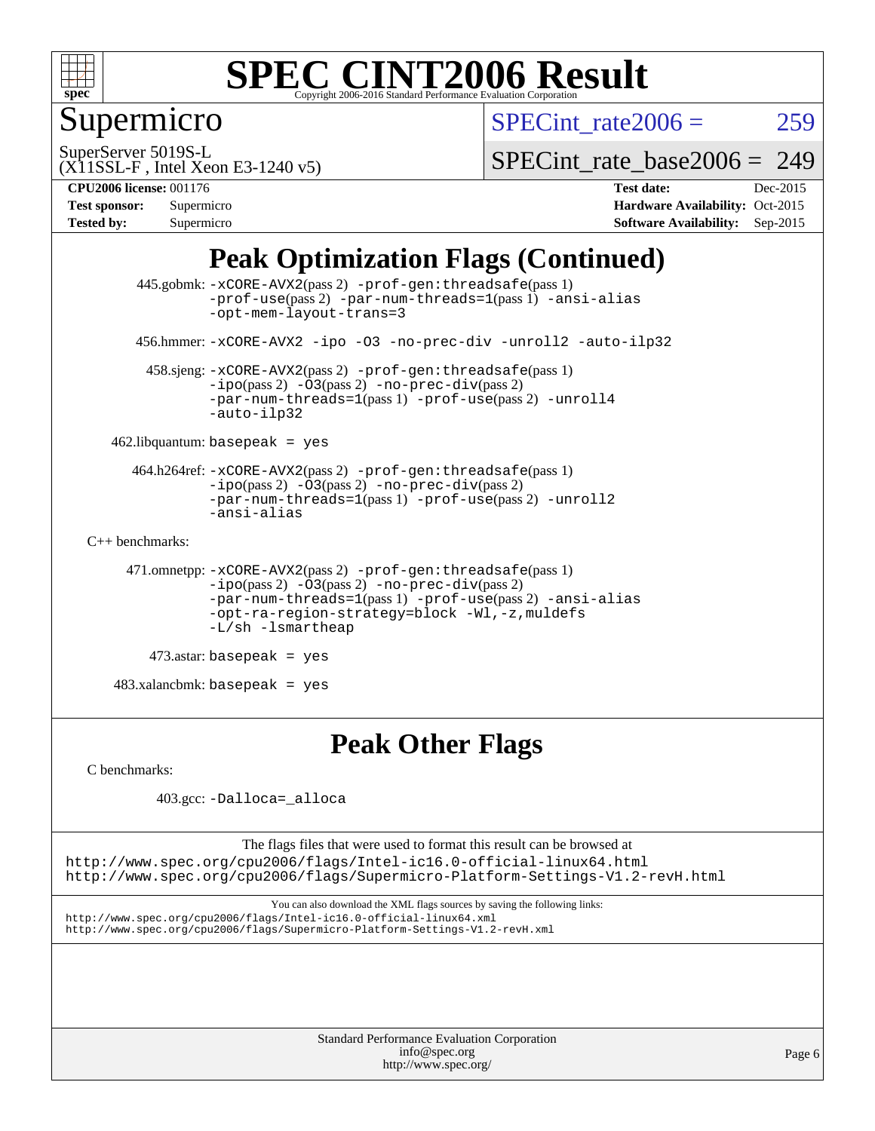

### Supermicro

SPECint rate $2006 = 259$ 

SuperServer 5019S-L

[SPECint\\_rate\\_base2006 =](http://www.spec.org/auto/cpu2006/Docs/result-fields.html#SPECintratebase2006) 249

(X11SSL-F , Intel Xeon E3-1240 v5) **[CPU2006 license:](http://www.spec.org/auto/cpu2006/Docs/result-fields.html#CPU2006license)** 001176 **[Test date:](http://www.spec.org/auto/cpu2006/Docs/result-fields.html#Testdate)** Dec-2015

| <b>Test sponsor:</b> | Supermicro |
|----------------------|------------|
| <b>Tested by:</b>    | Supermicro |

**[Hardware Availability:](http://www.spec.org/auto/cpu2006/Docs/result-fields.html#HardwareAvailability)** Oct-2015 **[Software Availability:](http://www.spec.org/auto/cpu2006/Docs/result-fields.html#SoftwareAvailability)** Sep-2015

### **[Peak Optimization Flags \(Continued\)](http://www.spec.org/auto/cpu2006/Docs/result-fields.html#PeakOptimizationFlags)**

```
 445.gobmk: -xCORE-AVX2(pass 2) -prof-gen:threadsafe(pass 1)
                -prof-use(pass 2) -par-num-threads=1(pass 1) -ansi-alias
                -opt-mem-layout-trans=3
       456.hmmer: -xCORE-AVX2 -ipo -O3 -no-prec-div -unroll2 -auto-ilp32
        458.sjeng: -xCORE-AVX2(pass 2) -prof-gen:threadsafe(pass 1)
                -i\text{po}(pass 2) -\overline{O}3(pass 2)-no-prec-div(pass 2)
                -par-num-threads=1-prof-use-unroll4
                -auto-ilp32
    462.libquantum: basepeak = yes
      464.h264ref: -xCORE-AVX2(pass 2) -prof-gen:threadsafe(pass 1)
               -ipo(pass 2) -O3(pass 2) -no-prec-div(pass 2)
               -par-num-threads=1(pass 1) -prof-use(pass 2) -unroll2
                -ansi-alias
C++ benchmarks: 
      471.omnetpp: -xCORE-AVX2(pass 2) -prof-gen:threadsafe(pass 1)
               -no-prec-div(pass 2)-par-num-threads=1(pass 1) -prof-use(pass 2) -ansi-alias
                -opt-ra-region-strategy=block -Wl,-z,muldefs
                -L/sh -lsmartheap
         473.astar: basepeak = yes
    483.xalancbmk: basepeak = yes
```
#### **[Peak Other Flags](http://www.spec.org/auto/cpu2006/Docs/result-fields.html#PeakOtherFlags)**

[C benchmarks](http://www.spec.org/auto/cpu2006/Docs/result-fields.html#Cbenchmarks):

403.gcc: [-Dalloca=\\_alloca](http://www.spec.org/cpu2006/results/res2016q1/cpu2006-20151217-38453.flags.html#b403.gcc_peakEXTRA_CFLAGS_Dalloca_be3056838c12de2578596ca5467af7f3)

The flags files that were used to format this result can be browsed at <http://www.spec.org/cpu2006/flags/Intel-ic16.0-official-linux64.html> <http://www.spec.org/cpu2006/flags/Supermicro-Platform-Settings-V1.2-revH.html>

You can also download the XML flags sources by saving the following links: <http://www.spec.org/cpu2006/flags/Intel-ic16.0-official-linux64.xml> <http://www.spec.org/cpu2006/flags/Supermicro-Platform-Settings-V1.2-revH.xml>